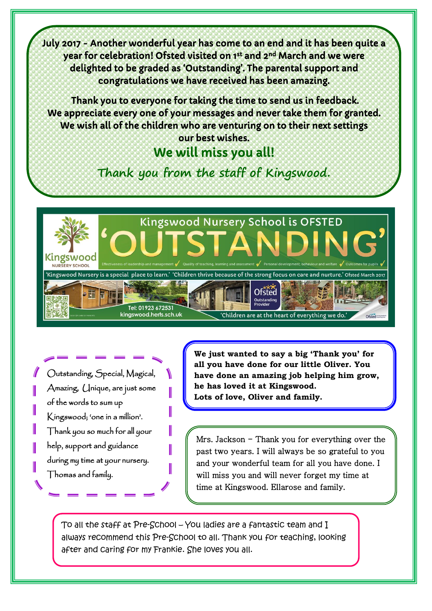July 2017 - Another wonderful year has come to an end and it has been quite a year for celebration! Ofsted visited on 1<sup>st</sup> and 2<sup>nd</sup> March and we were delighted to be graded as 'Outstanding'. The parental support and congratulations we have received has been amazing.

 Thank you to everyone for taking the time to send us in feedback. We appreciate every one of your messages and never take them for granted. We wish all of the children who are venturing on to their next settings our best wishes.

## We will miss you all!

**Thank you from the staff of Kingswood.**



Outstanding, Special, Magical, Amazing, Unique, are just some of the words to sum up Kingswood; 'one in a million'. Thank you so much for all your help, support and guidance during my time at your nursery. Thomas and family.

**We just wanted to say a big 'Thank you' for all you have done for our little Oliver. You have done an amazing job helping him grow, he has loved it at Kingswood. Lots of love, Oliver and family.** 

Mrs. Jackson  $-$  Thank you for everything over the past two years. I will always be so grateful to you and your wonderful team for all you have done. I will miss you and will never forget my time at time at Kingswood. Ellarose and family.

To all the staff at Pre-School – You ladies are a fantastic team and I always recommend this Pre-School to all. Thank you for teaching, looking after and caring for my Frankie. She loves you all.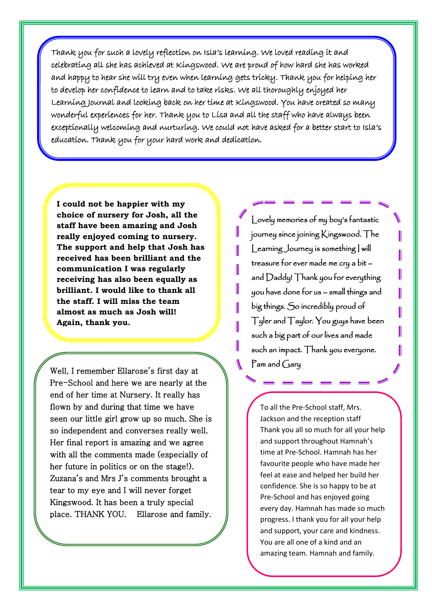Thank you for such a lovely reflection on Isla's learning. We loved reading it and celebrating all she has achieved at Kingswood. We are proud of how hard she has worked and happy to hear she will try even when learning gets tricky. Thank you for helping her to develop her confidence to learn and to take risks. We all thoroughly enjoyed her Learning Journal and looking back on her time at Kingswood. You have created so many wonderful experiences for her. Thank you to Lisa and all the staff who have always been exceptionally welcoming and nurturing. We could not have asked for a better start to Isla's education. Thank you for your hard work and dedication.

**I could not be happier with my choice of nursery for Josh, all the staff have been amazing and Josh really enjoyed coming to nursery. The support and help that Josh has received has been brilliant and the communication I was regularly receiving has also been equally as brilliant. I would like to thank all the staff. I will miss the team almost as much as Josh will! Again, thank you.** 

Well, I remember Ellarose's first day at Pre-School and here we are nearly at the end of her time at Nursery. It really has flown by and during that time we have seen our little girl grow up so much. She is so independent and converses really well. Her final report is amazing and we agree with all the comments made (especially of her future in politics or on the stage!). Zuzana's and Mrs J's comments brought a tear to my eye and I will never forget Kingswood. It has been a truly special place. THANK YOU. Ellarose and family.

Lovely memories of my boy's fantastic journey since joining Kingswood. The Learning Journey is something | will treasure for ever made me cry a bit – and Daddy! Thank you for everything you have done for us – small things and big things. So incredibly proud of Tyler and Taylor. You guys have been such a big part of our lives and made such an impact. Thank you everyone. Pam and Gary

To all the Pre-School staff, Mrs. Jackson and the reception staff Thank you all so much for all your help and support throughout Hamnah's time at Pre-School. Hamnah has her favourite people who have made her feel at ease and helped her build her confidence. She is so happy to be at Pre-School and has enjoyed going every day. Hamnah has made so much progress. I thank you for all your help and support, your care and kindness. You are all one of a kind and an amazing team. Hamnah and family.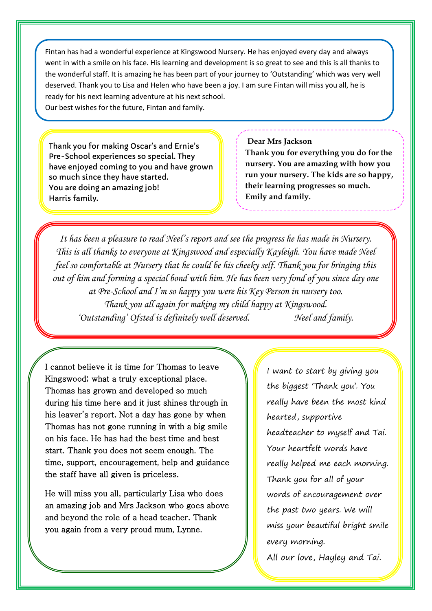Fintan has had a wonderful experience at Kingswood Nursery. He has enjoyed every day and always went in with a smile on his face. His learning and development is so great to see and this is all thanks to the wonderful staff. It is amazing he has been part of your journey to 'Outstanding' which was very well deserved. Thank you to Lisa and Helen who have been a joy. I am sure Fintan will miss you all, he is ready for his next learning adventure at his next school. Our best wishes for the future, Fintan and family.

Thank you for making Oscar's and Ernie's Pre-School experiences so special. They have enjoyed coming to you and have grown so much since they have started. You are doing an amazing job! Harris family.

## **Dear Mrs Jackson**

**Thank you for everything you do for the nursery. You are amazing with how you run your nursery. The kids are so happy, their learning progresses so much. Emily and family.**

*It has been a pleasure to read Neel's report and see the progress he has made in Nursery. This is all thanks to everyone at Kingswood and especially Kayleigh. You have made Neel feel so comfortable at Nursery that he could be his cheeky self. Thank you for bringing this out of him and forming a special bond with him. He has been very fond of you since day one at Pre-School and I'm so happy you were his Key Person in nursery too. Thank you all again for making my child happy at Kingswood. 'Outstanding' Ofsted is definitely well deserved. Neel and family.* 

I cannot believe it is time for Thomas to leave Kingswood; what a truly exceptional place. Thomas has grown and developed so much during his time here and it just shines through in his leaver's report. Not a day has gone by when Thomas has not gone running in with a big smile on his face. He has had the best time and best start. Thank you does not seem enough. The time, support, encouragement, help and guidance the staff have all given is priceless.

He will miss you all, particularly Lisa who does an amazing job and Mrs Jackson who goes above and beyond the role of a head teacher. Thank you again from a very proud mum, Lynne.

I want to start by giving you the biggest 'Thank you'. You really have been the most kind hearted, supportive headteacher to myself and Tai. Your heartfelt words have really helped me each morning. Thank you for all of your words of encouragement over the past two years. We will miss your beautiful bright smile every morning.

All our love, Hayley and Tai.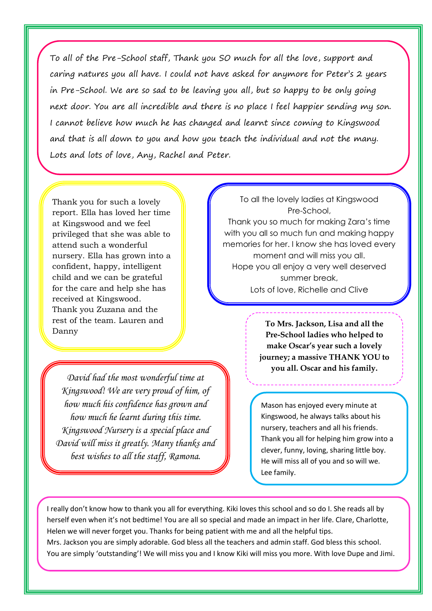To all of the Pre-School staff, Thank you SO much for all the love, support and caring natures you all have. I could not have asked for anymore for Peter's 2 years in Pre-School. We are so sad to be leaving you all, but so happy to be only going next door. You are all incredible and there is no place I feel happier sending my son. I cannot believe how much he has changed and learnt since coming to Kingswood and that is all down to you and how you teach the individual and not the many. Lots and lots of love, Any, Rachel and Peter.

Thank you for such a lovely report. Ella has loved her time at Kingswood and we feel privileged that she was able to attend such a wonderful nursery. Ella has grown into a confident, happy, intelligent child and we can be grateful for the care and help she has received at Kingswood. Thank you Zuzana and the rest of the team. Lauren and Danny

*David had the most wonderful time at Kingswood! We are very proud of him, of how much his confidence has grown and how much he learnt during this time. Kingswood Nursery is a special place and David will miss it greatly. Many thanks and best wishes to all the staff, Ramona.*

To all the lovely ladies at Kingswood Pre-School, Thank you so much for making Zara's time with you all so much fun and making happy memories for her. I know she has loved every moment and will miss you all. Hope you all enjoy a very well deserved summer break, Lots of love, Richelle and Clive

> **To Mrs. Jackson, Lisa and all the Pre-School ladies who helped to make Oscar's year such a lovely journey; a massive THANK YOU to you all. Oscar and his family.**

Mason has enjoyed every minute at Kingswood, he always talks about his nursery, teachers and all his friends. Thank you all for helping him grow into a clever, funny, loving, sharing little boy. He will miss all of you and so will we. Lee family.

I really don't know how to thank you all for everything. Kiki loves this school and so do I. She reads all by herself even when it's not bedtime! You are all so special and made an impact in her life. Clare, Charlotte, Helen we will never forget you. Thanks for being patient with me and all the helpful tips. Mrs. Jackson you are simply adorable. God bless all the teachers and admin staff. God bless this school. You are simply 'outstanding'! We will miss you and I know Kiki will miss you more. With love Dupe and Jimi.